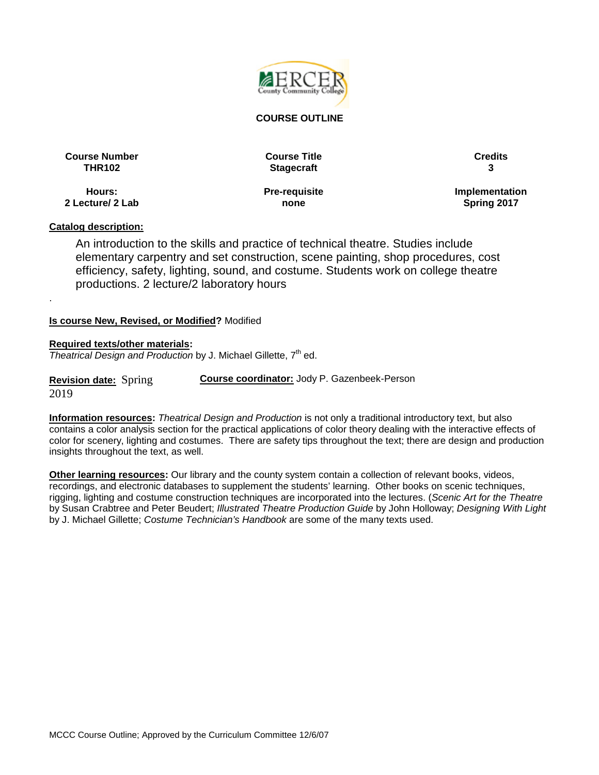

#### **COURSE OUTLINE**

**Course Number Course Title Credits**

**THR102 Stagecraft 3**

**Hours: 2 Lecture/ 2 Lab** **Pre-requisite none**

**Implementation Spring 2017**

### **Catalog description:**

.

An introduction to the skills and practice of technical theatre. Studies include elementary carpentry and set construction, scene painting, shop procedures, cost efficiency, safety, lighting, sound, and costume. Students work on college theatre productions. 2 lecture/2 laboratory hours

#### **Is course New, Revised, or Modified?** Modified

#### **Required texts/other materials:**

*Theatrical Design and Production* by J. Michael Gillette, 7<sup>th</sup> ed.

**Revision date:** Spring 2019 **Course coordinator:** Jody P. Gazenbeek-Person

**Information resources:** *Theatrical Design and Production* is not only a traditional introductory text, but also contains a color analysis section for the practical applications of color theory dealing with the interactive effects of color for scenery, lighting and costumes. There are safety tips throughout the text; there are design and production insights throughout the text, as well.

**Other learning resources:** Our library and the county system contain a collection of relevant books, videos, recordings, and electronic databases to supplement the students' learning. Other books on scenic techniques, rigging, lighting and costume construction techniques are incorporated into the lectures. (*Scenic Art for the Theatre* by Susan Crabtree and Peter Beudert; *Illustrated Theatre Production Guide* by John Holloway; *Designing With Light* by J. Michael Gillette; *Costume Technician's Handbook* are some of the many texts used.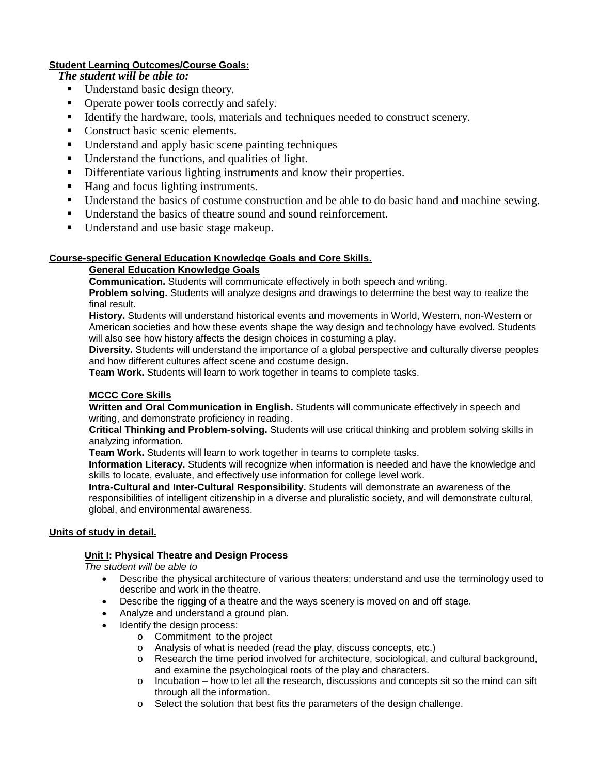## **Student Learning Outcomes/Course Goals:**

# *The student will be able to:*

- Understand basic design theory.
- Operate power tools correctly and safely.
- Identify the hardware, tools, materials and techniques needed to construct scenery.
- Construct basic scenic elements.
- Understand and apply basic scene painting techniques
- Understand the functions, and qualities of light.
- Differentiate various lighting instruments and know their properties.
- Hang and focus lighting instruments.
- Understand the basics of costume construction and be able to do basic hand and machine sewing.
- Understand the basics of theatre sound and sound reinforcement.
- Understand and use basic stage makeup.

## **Course-specific General Education Knowledge Goals and Core Skills.**

# **General Education Knowledge Goals**

**Communication.** Students will communicate effectively in both speech and writing.

**Problem solving.** Students will analyze designs and drawings to determine the best way to realize the final result.

**History.** Students will understand historical events and movements in World, Western, non-Western or American societies and how these events shape the way design and technology have evolved. Students will also see how history affects the design choices in costuming a play.

**Diversity.** Students will understand the importance of a global perspective and culturally diverse peoples and how different cultures affect scene and costume design.

**Team Work.** Students will learn to work together in teams to complete tasks.

## **MCCC Core Skills**

**Written and Oral Communication in English.** Students will communicate effectively in speech and writing, and demonstrate proficiency in reading.

**Critical Thinking and Problem-solving.** Students will use critical thinking and problem solving skills in analyzing information.

**Team Work.** Students will learn to work together in teams to complete tasks.

**Information Literacy.** Students will recognize when information is needed and have the knowledge and skills to locate, evaluate, and effectively use information for college level work.

**Intra-Cultural and Inter-Cultural Responsibility.** Students will demonstrate an awareness of the responsibilities of intelligent citizenship in a diverse and pluralistic society, and will demonstrate cultural, global, and environmental awareness.

### **Units of study in detail.**

### **Unit I: Physical Theatre and Design Process**

*The student will be able to*

- Describe the physical architecture of various theaters; understand and use the terminology used to describe and work in the theatre.
- Describe the rigging of a theatre and the ways scenery is moved on and off stage.
- Analyze and understand a ground plan.
- Identify the design process:
	- o Commitment to the project
	- o Analysis of what is needed (read the play, discuss concepts, etc.)
	- o Research the time period involved for architecture, sociological, and cultural background, and examine the psychological roots of the play and characters.
	- o Incubation how to let all the research, discussions and concepts sit so the mind can sift through all the information.
	- o Select the solution that best fits the parameters of the design challenge.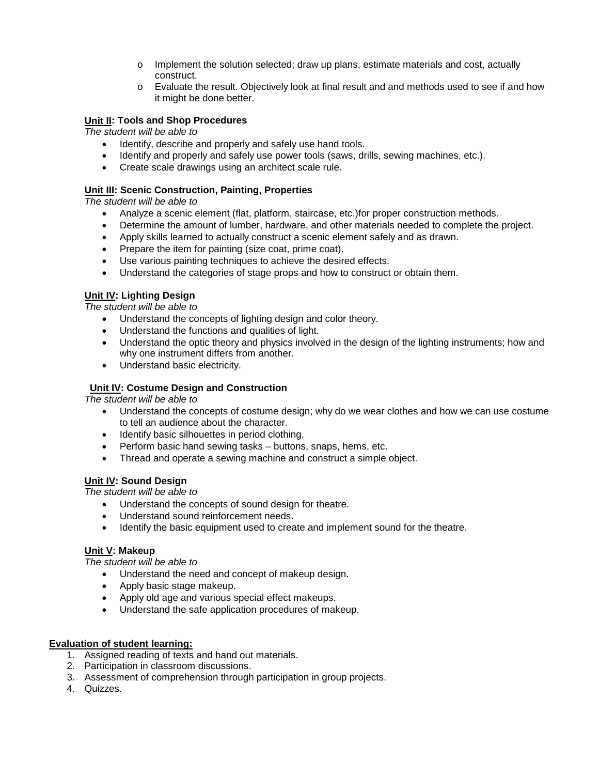- o Implement the solution selected; draw up plans, estimate materials and cost, actually construct.
- o Evaluate the result. Objectively look at final result and and methods used to see if and how it might be done better.

### **Unit II: Tools and Shop Procedures**

*The student will be able to*

- Identify, describe and properly and safely use hand tools.
- Identify and properly and safely use power tools (saws, drills, sewing machines, etc.).
- Create scale drawings using an architect scale rule.

#### **Unit III: Scenic Construction, Painting, Properties**

*The student will be able to*

- Analyze a scenic element (flat, platform, staircase, etc.)for proper construction methods.
- Determine the amount of lumber, hardware, and other materials needed to complete the project.
- Apply skills learned to actually construct a scenic element safely and as drawn.
- Prepare the item for painting (size coat, prime coat).
- Use various painting techniques to achieve the desired effects.
- Understand the categories of stage props and how to construct or obtain them.

### **Unit IV: Lighting Design**

*The student will be able to*

- Understand the concepts of lighting design and color theory.
- Understand the functions and qualities of light.
- Understand the optic theory and physics involved in the design of the lighting instruments; how and why one instrument differs from another.
- Understand basic electricity.

#### **Unit IV: Costume Design and Construction**

*The student will be able to*

- Understand the concepts of costume design; why do we wear clothes and how we can use costume to tell an audience about the character.
- Identify basic silhouettes in period clothing.
- Perform basic hand sewing tasks buttons, snaps, hems, etc.
- Thread and operate a sewing machine and construct a simple object.

# **Unit IV: Sound Design**

*The student will be able to*

- Understand the concepts of sound design for theatre.
- Understand sound reinforcement needs.
- Identify the basic equipment used to create and implement sound for the theatre.

### **Unit V: Makeup**

*The student will be able to*

- Understand the need and concept of makeup design.
- Apply basic stage makeup.
- Apply old age and various special effect makeups.
- Understand the safe application procedures of makeup.

#### **Evaluation of student learning:**

- 1. Assigned reading of texts and hand out materials.
- 2. Participation in classroom discussions.
- 3. Assessment of comprehension through participation in group projects.
- 4. Quizzes.